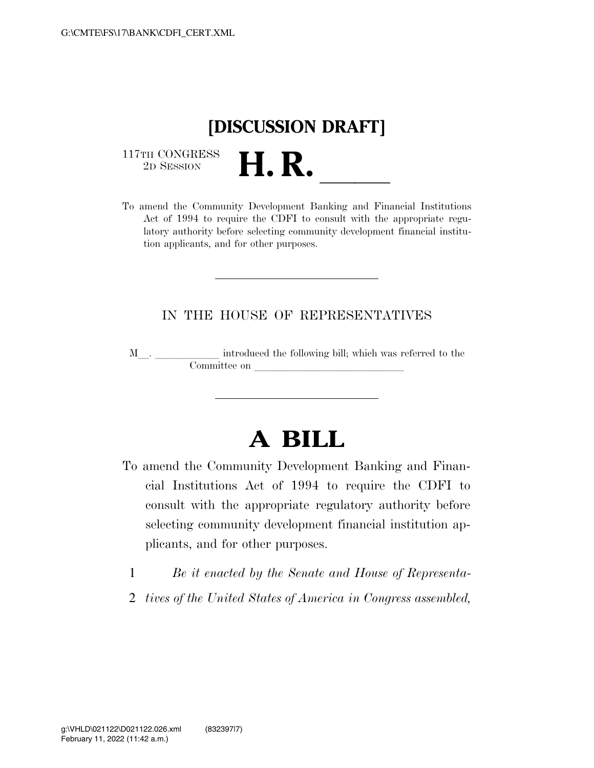

 $\begin{array}{c} \text{117TH CONGRESS} \\ \text{2D SESION} \end{array}$ 

117TH CONGRESS<br>
2D SESSION<br>
To amend the Community Development Banking and Financial Institutions Act of 1994 to require the CDFI to consult with the appropriate regulatory authority before selecting community development financial institution applicants, and for other purposes.

## IN THE HOUSE OF REPRESENTATIVES

M<sub>\_\_\_</sub>. \_\_\_\_\_\_\_\_\_\_\_\_\_ introduced the following bill; which was referred to the  ${\bf Committee \ on \ \_\_}$ 

## **A BILL**

- To amend the Community Development Banking and Financial Institutions Act of 1994 to require the CDFI to consult with the appropriate regulatory authority before selecting community development financial institution applicants, and for other purposes.
	- 1 *Be it enacted by the Senate and House of Representa-*
	- 2 *tives of the United States of America in Congress assembled,*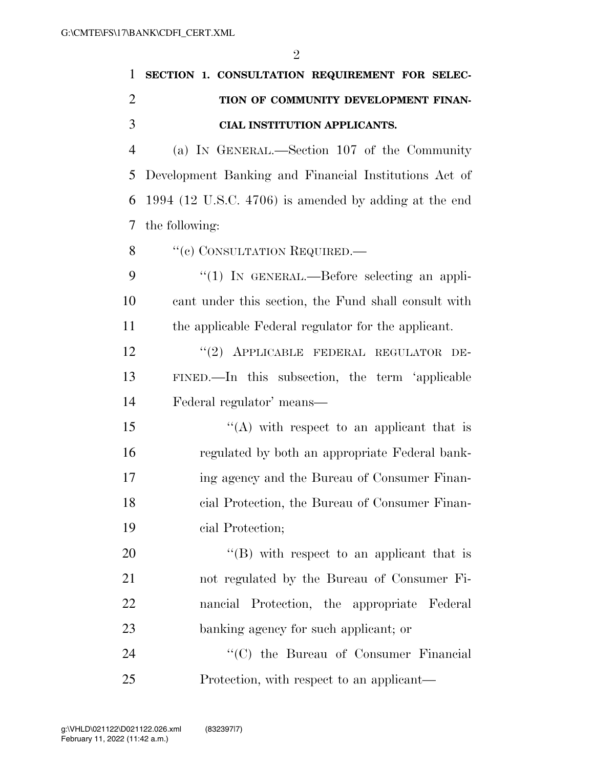| 1              | SECTION 1. CONSULTATION REQUIREMENT FOR SELEC-          |
|----------------|---------------------------------------------------------|
| $\overline{2}$ | TION OF COMMUNITY DEVELOPMENT FINAN-                    |
| 3              | CIAL INSTITUTION APPLICANTS.                            |
| $\overline{4}$ | (a) IN GENERAL.—Section 107 of the Community            |
| 5              | Development Banking and Financial Institutions Act of   |
| 6              | $1994$ (12 U.S.C. 4706) is amended by adding at the end |
| 7              | the following:                                          |
| 8              | "(c) CONSULTATION REQUIRED.-                            |
| 9              | $\lq(1)$ In GENERAL.—Before selecting an appli-         |
| 10             | cant under this section, the Fund shall consult with    |
| 11             | the applicable Federal regulator for the applicant.     |
| 12             | "(2) APPLICABLE FEDERAL REGULATOR DE-                   |
| 13             | FINED.—In this subsection, the term 'applicable         |
| 14             | Federal regulator' means—                               |
| 15             | "(A) with respect to an applicant that is               |
| 16             | regulated by both an appropriate Federal bank-          |
| 17             | ing agency and the Bureau of Consumer Finan-            |
| 18             | cial Protection, the Bureau of Consumer Finan-          |
| 19             | cial Protection;                                        |
| 20             | $\lq\lq (B)$ with respect to an applicant that is       |
| 21             | not regulated by the Bureau of Consumer Fi-             |
| 22             | nancial Protection, the appropriate Federal             |
| 23             | banking agency for such applicant; or                   |
| 24             | "(C) the Bureau of Consumer Financial                   |
| 25             | Protection, with respect to an applicant—               |